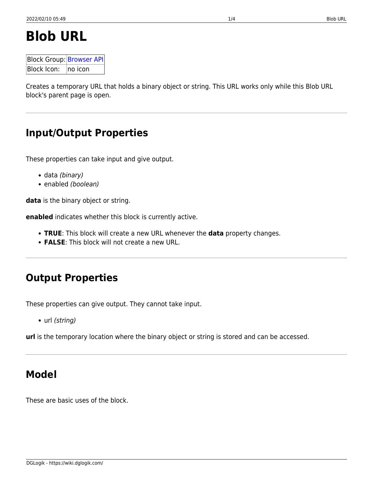# **Blob URL**

Block Group: [Browser API](https://wiki.dglogik.com/dglux5_wiki:dataflow:dataflow_blocks_reference:browser_api:home)  $B$ lock Icon:  $\Box$ no icon

Creates a temporary URL that holds a binary object or string. This URL works only while this Blob URL block's parent page is open.

## **Input/Output Properties**

These properties can take input and give output.

- data (binary)
- enabled (boolean)

**data** is the binary object or string.

**enabled** indicates whether this block is currently active.

- **TRUE**: This block will create a new URL whenever the **data** property changes.
- **FALSE**: This block will not create a new URL.

## **Output Properties**

These properties can give output. They cannot take input.

• url (string)

**url** is the temporary location where the binary object or string is stored and can be accessed.

## **Model**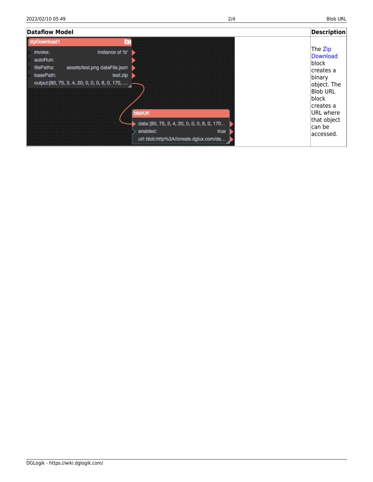| <b>Dataflow Model</b>                                                                                                                                                             |                                                                                                                      | <b>Description</b>                                                                                                                                               |
|-----------------------------------------------------------------------------------------------------------------------------------------------------------------------------------|----------------------------------------------------------------------------------------------------------------------|------------------------------------------------------------------------------------------------------------------------------------------------------------------|
| zipDownload1<br>Instance of 'Iz'<br>invoke:<br>autoRun:<br>assets/test.png dataFile.json<br>filePaths:<br>basePath:<br>test.zip<br>output: [80, 75, 3, 4, 20, 0, 0, 0, 8, 0, 170, | blobUrl<br>data: [80, 75, 3, 4, 20, 0, 0, 0, 8, 0, 170<br>enabled:<br>true<br>url: blob:http%3A//create.dglux.com/da | The Zip<br>Download<br> block<br>creates a<br>binary<br>object. The<br><b>Blob URL</b><br>block<br>creates a<br>URL where<br>that object<br>can be<br>laccessed. |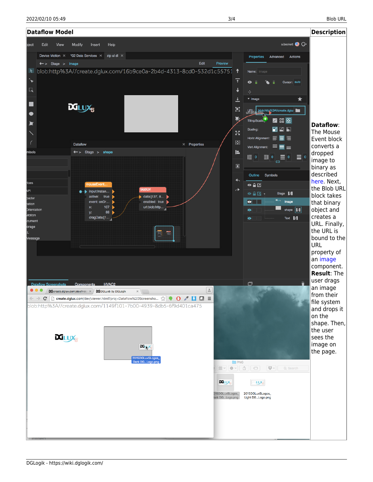